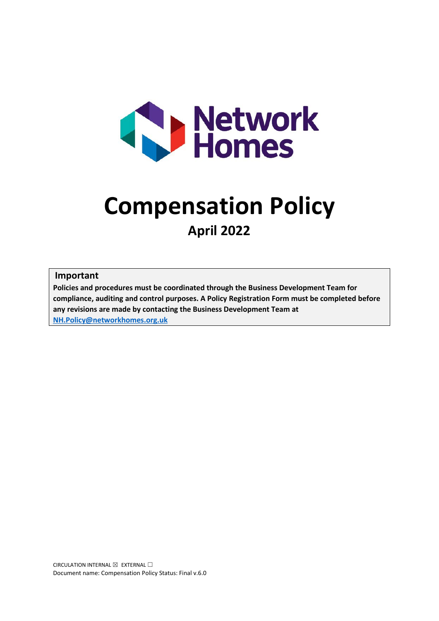

# **Compensation Policy April 2022**

#### **Important**

**Policies and procedures must be coordinated through the Business Development Team for compliance, auditing and control purposes. A Policy Registration Form must be completed before any revisions are made by contacting the Business Development Team at [NH.Policy@networkhomes.org.uk](mailto:NH.Policy@networkhomes.org.uk)**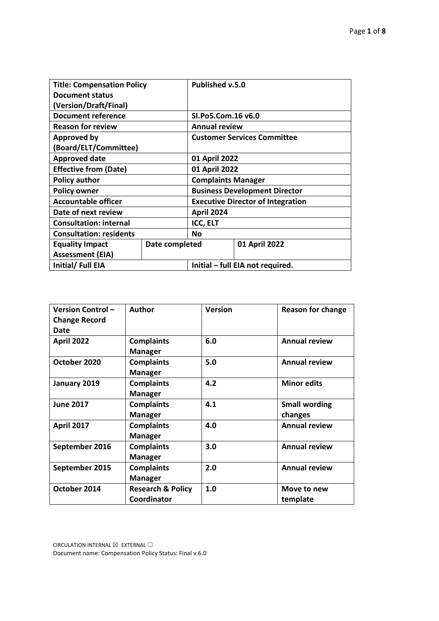| <b>Title: Compensation Policy</b> |                | Published v.5.0                          |               |
|-----------------------------------|----------------|------------------------------------------|---------------|
| <b>Document status</b>            |                |                                          |               |
| (Version/Draft/Final)             |                |                                          |               |
| <b>Document reference</b>         |                | SI.Po5.Com.16 v6.0                       |               |
| <b>Reason for review</b>          |                | <b>Annual review</b>                     |               |
| <b>Approved by</b>                |                | <b>Customer Services Committee</b>       |               |
| (Board/ELT/Committee)             |                |                                          |               |
| <b>Approved date</b>              |                | 01 April 2022                            |               |
| <b>Effective from (Date)</b>      |                | 01 April 2022                            |               |
| <b>Policy author</b>              |                | <b>Complaints Manager</b>                |               |
| <b>Policy owner</b>               |                | <b>Business Development Director</b>     |               |
| <b>Accountable officer</b>        |                | <b>Executive Director of Integration</b> |               |
| Date of next review               |                | <b>April 2024</b>                        |               |
| <b>Consultation: internal</b>     |                | <b>ICC, ELT</b>                          |               |
| <b>Consultation: residents</b>    |                | <b>No</b>                                |               |
| <b>Equality Impact</b>            | Date completed |                                          | 01 April 2022 |
| <b>Assessment (EIA)</b>           |                |                                          |               |
| Initial/Full EIA                  |                | Initial – full EIA not required.         |               |

| <b>Version Control-</b><br><b>Change Record</b> | <b>Author</b>                | <b>Version</b> | <b>Reason for change</b> |
|-------------------------------------------------|------------------------------|----------------|--------------------------|
| <b>Date</b>                                     |                              |                |                          |
| <b>April 2022</b>                               | <b>Complaints</b>            | 6.0            | <b>Annual review</b>     |
|                                                 | <b>Manager</b>               |                |                          |
| October 2020                                    | <b>Complaints</b>            | 5.0            | <b>Annual review</b>     |
|                                                 | <b>Manager</b>               |                |                          |
| January 2019                                    | <b>Complaints</b>            | 4.2            | <b>Minor edits</b>       |
|                                                 | <b>Manager</b>               |                |                          |
| <b>June 2017</b>                                | <b>Complaints</b>            | 4.1            | <b>Small wording</b>     |
|                                                 | <b>Manager</b>               |                | changes                  |
| <b>April 2017</b>                               | <b>Complaints</b>            | 4.0            | <b>Annual review</b>     |
|                                                 | <b>Manager</b>               |                |                          |
| September 2016                                  | <b>Complaints</b>            | 3.0            | <b>Annual review</b>     |
|                                                 | <b>Manager</b>               |                |                          |
| September 2015                                  | <b>Complaints</b>            | 2.0            | <b>Annual review</b>     |
|                                                 | <b>Manager</b>               |                |                          |
| October 2014                                    | <b>Research &amp; Policy</b> | 1.0            | Move to new              |
|                                                 | Coordinator                  |                | template                 |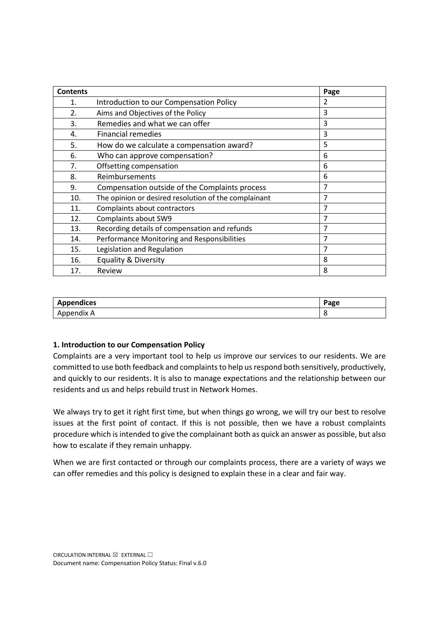| <b>Contents</b> |                                                      | Page |
|-----------------|------------------------------------------------------|------|
| 1.              | Introduction to our Compensation Policy              | 2    |
| 2.              | Aims and Objectives of the Policy                    | 3    |
| 3.              | Remedies and what we can offer                       | 3    |
| 4.              | <b>Financial remedies</b>                            | 3    |
| 5.              | How do we calculate a compensation award?            | 5    |
| 6.              | Who can approve compensation?                        | 6    |
| 7.              | Offsetting compensation                              | 6    |
| 8.              | Reimbursements                                       | 6    |
| 9.              | Compensation outside of the Complaints process       | 7    |
| 10.             | The opinion or desired resolution of the complainant | 7    |
| 11.             | Complaints about contractors                         | 7    |
| 12.             | Complaints about SW9                                 | 7    |
| 13.             | Recording details of compensation and refunds        | 7    |
| 14.             | Performance Monitoring and Responsibilities          | 7    |
| 15.             | Legislation and Regulation                           | 7    |
| 16.             | Equality & Diversity                                 | 8    |
| 17.             | Review                                               | 8    |

| <b>Appendices</b> | <sup>o</sup> age |
|-------------------|------------------|
| Appendix A        |                  |

# **1. Introduction to our Compensation Policy**

Complaints are a very important tool to help us improve our services to our residents. We are committed to use both feedback and complaints to help us respond both sensitively, productively, and quickly to our residents. It is also to manage expectations and the relationship between our residents and us and helps rebuild trust in Network Homes.

We always try to get it right first time, but when things go wrong, we will try our best to resolve issues at the first point of contact. If this is not possible, then we have a robust complaints procedure which is intended to give the complainant both as quick an answer as possible, but also how to escalate if they remain unhappy.

When we are first contacted or through our complaints process, there are a variety of ways we can offer remedies and this policy is designed to explain these in a clear and fair way.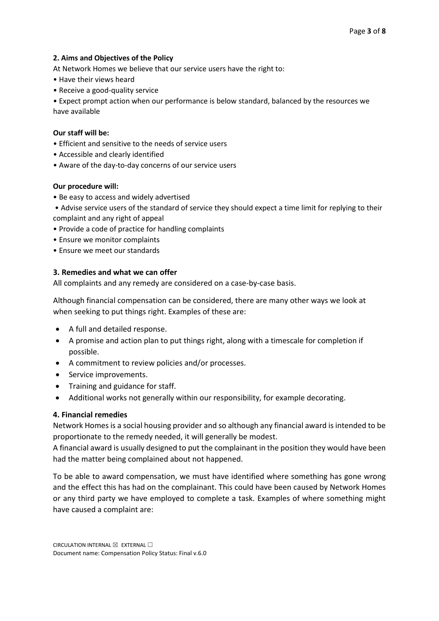## **2. Aims and Objectives of the Policy**

At Network Homes we believe that our service users have the right to:

- Have their views heard
- Receive a good-quality service

• Expect prompt action when our performance is below standard, balanced by the resources we have available

### **Our staff will be:**

- Efficient and sensitive to the needs of service users
- Accessible and clearly identified
- Aware of the day-to-day concerns of our service users

## **Our procedure will:**

- Be easy to access and widely advertised
- Advise service users of the standard of service they should expect a time limit for replying to their complaint and any right of appeal
- Provide a code of practice for handling complaints
- Ensure we monitor complaints
- Ensure we meet our standards

## **3. Remedies and what we can offer**

All complaints and any remedy are considered on a case-by-case basis.

Although financial compensation can be considered, there are many other ways we look at when seeking to put things right. Examples of these are:

- A full and detailed response.
- A promise and action plan to put things right, along with a timescale for completion if possible.
- A commitment to review policies and/or processes.
- Service improvements.
- Training and guidance for staff.
- Additional works not generally within our responsibility, for example decorating.

#### **4. Financial remedies**

Network Homes is a social housing provider and so although any financial award is intended to be proportionate to the remedy needed, it will generally be modest.

A financial award is usually designed to put the complainant in the position they would have been had the matter being complained about not happened.

To be able to award compensation, we must have identified where something has gone wrong and the effect this has had on the complainant. This could have been caused by Network Homes or any third party we have employed to complete a task. Examples of where something might have caused a complaint are: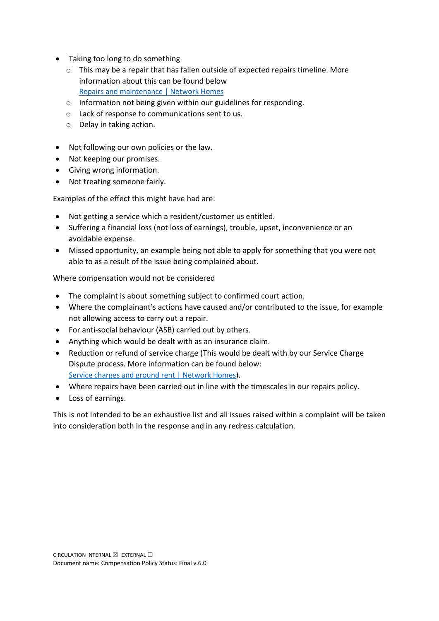- Taking too long to do something
	- o This may be a repair that has fallen outside of expected repairs timeline. More information about this can be found below [Repairs and maintenance | Network Homes](https://www.networkhomes.org.uk/your-home/repairs-and-maintenance/)
	- o Information not being given within our guidelines for responding.
	- o Lack of response to communications sent to us.
	- o Delay in taking action.
- Not following our own policies or the law.
- Not keeping our promises.
- Giving wrong information.
- Not treating someone fairly.

Examples of the effect this might have had are:

- Not getting a service which a resident/customer us entitled.
- Suffering a financial loss (not loss of earnings), trouble, upset, inconvenience or an avoidable expense.
- Missed opportunity, an example being not able to apply for something that you were not able to as a result of the issue being complained about.

Where compensation would not be considered

- The complaint is about something subject to confirmed court action.
- Where the complainant's actions have caused and/or contributed to the issue, for example not allowing access to carry out a repair.
- For anti-social behaviour (ASB) carried out by others.
- Anything which would be dealt with as an insurance claim.
- Reduction or refund of service charge (This would be dealt with by our Service Charge Dispute process. More information can be found below: [Service charges and ground rent | Network Homes\)](https://www.networkhomes.org.uk/your-home/homeowners-leaseholders-and-shared-owners/service-charges/service-charges-what-do-i-need-to-pay/).
- Where repairs have been carried out in line with the timescales in our repairs policy.
- Loss of earnings.

This is not intended to be an exhaustive list and all issues raised within a complaint will be taken into consideration both in the response and in any redress calculation.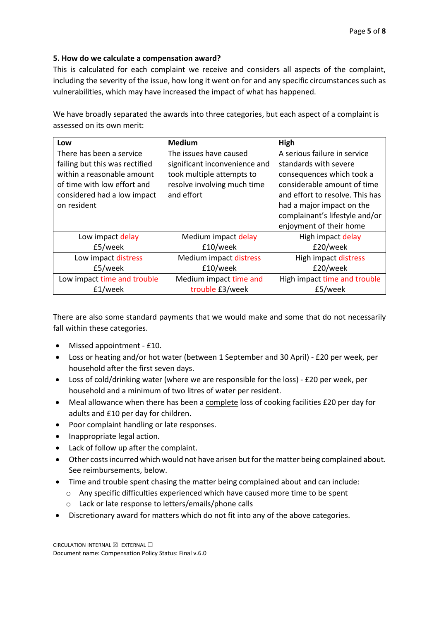# **5. How do we calculate a compensation award?**

This is calculated for each complaint we receive and considers all aspects of the complaint, including the severity of the issue, how long it went on for and any specific circumstances such as vulnerabilities, which may have increased the impact of what has happened.

We have broadly separated the awards into three categories, but each aspect of a complaint is assessed on its own merit:

| Low                            | <b>Medium</b>                 | High                            |
|--------------------------------|-------------------------------|---------------------------------|
| There has been a service       | The issues have caused        | A serious failure in service    |
| failing but this was rectified | significant inconvenience and | standards with severe           |
| within a reasonable amount     | took multiple attempts to     | consequences which took a       |
| of time with low effort and    | resolve involving much time   | considerable amount of time     |
| considered had a low impact    | and effort                    | and effort to resolve. This has |
| on resident                    |                               | had a major impact on the       |
|                                |                               | complainant's lifestyle and/or  |
|                                |                               | enjoyment of their home         |
| Low impact delay               | Medium impact delay           | High impact delay               |
| £5/week                        | £10/week                      | £20/week                        |
| Low impact distress            | Medium impact distress        | High impact distress            |
| £5/week                        | £10/week                      | £20/week                        |
| Low impact time and trouble    | Medium impact time and        | High impact time and trouble    |
| £1/week                        | trouble £3/week               | £5/week                         |

There are also some standard payments that we would make and some that do not necessarily fall within these categories.

- Missed appointment £10.
- Loss or heating and/or hot water (between 1 September and 30 April) £20 per week, per household after the first seven days.
- Loss of cold/drinking water (where we are responsible for the loss) £20 per week, per household and a minimum of two litres of water per resident.
- Meal allowance when there has been a complete loss of cooking facilities £20 per day for adults and £10 per day for children.
- Poor complaint handling or late responses.
- Inappropriate legal action.
- Lack of follow up after the complaint.
- Other costs incurred which would not have arisen but for the matter being complained about. See reimbursements, below.
- Time and trouble spent chasing the matter being complained about and can include:
	- o Any specific difficulties experienced which have caused more time to be spent
	- o Lack or late response to letters/emails/phone calls
- Discretionary award for matters which do not fit into any of the above categories.

CIRCULATION INTERNAL  $\boxtimes$  EXTERNAL  $\Box$ Document name: Compensation Policy Status: Final v.6.0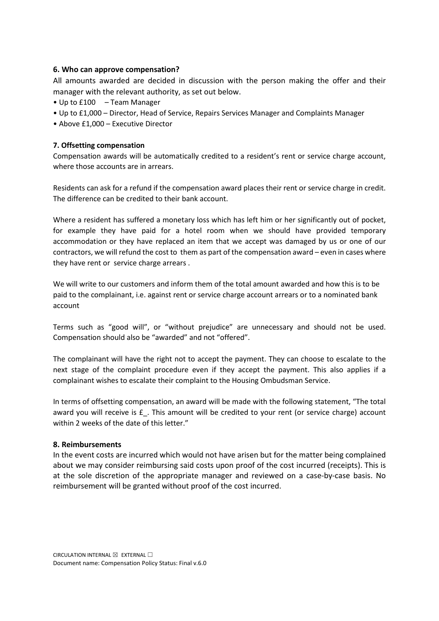### **6. Who can approve compensation?**

All amounts awarded are decided in discussion with the person making the offer and their manager with the relevant authority, as set out below.

- Up to £100 Team Manager
- Up to £1,000 Director, Head of Service, Repairs Services Manager and Complaints Manager
- Above £1,000 Executive Director

## **7. Offsetting compensation**

Compensation awards will be automatically credited to a resident's rent or service charge account, where those accounts are in arrears.

Residents can ask for a refund if the compensation award places their rent or service charge in credit. The difference can be credited to their bank account.

Where a resident has suffered a monetary loss which has left him or her significantly out of pocket, for example they have paid for a hotel room when we should have provided temporary accommodation or they have replaced an item that we accept was damaged by us or one of our contractors, we will refund the cost to them as part of the compensation award – even in cases where they have rent or service charge arrears .

We will write to our customers and inform them of the total amount awarded and how this is to be paid to the complainant, i.e. against rent or service charge account arrears or to a nominated bank account

Terms such as "good will", or "without prejudice" are unnecessary and should not be used. Compensation should also be "awarded" and not "offered".

The complainant will have the right not to accept the payment. They can choose to escalate to the next stage of the complaint procedure even if they accept the payment. This also applies if a complainant wishes to escalate their complaint to the Housing Ombudsman Service.

In terms of offsetting compensation, an award will be made with the following statement, "The total award you will receive is £\_. This amount will be credited to your rent (or service charge) account within 2 weeks of the date of this letter."

#### **8. Reimbursements**

In the event costs are incurred which would not have arisen but for the matter being complained about we may consider reimbursing said costs upon proof of the cost incurred (receipts). This is at the sole discretion of the appropriate manager and reviewed on a case-by-case basis. No reimbursement will be granted without proof of the cost incurred.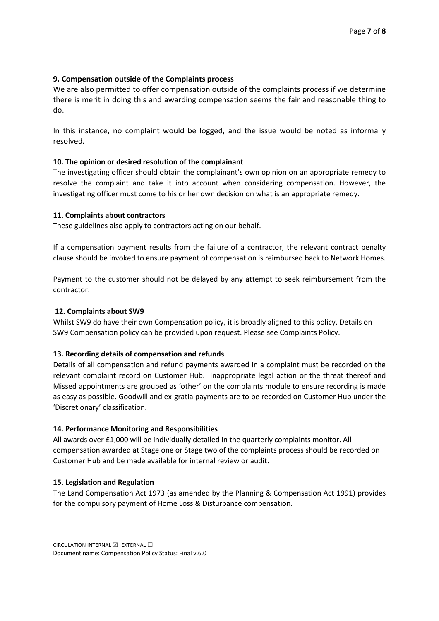## **9. Compensation outside of the Complaints process**

We are also permitted to offer compensation outside of the complaints process if we determine there is merit in doing this and awarding compensation seems the fair and reasonable thing to do.

In this instance, no complaint would be logged, and the issue would be noted as informally resolved.

## **10. The opinion or desired resolution of the complainant**

The investigating officer should obtain the complainant's own opinion on an appropriate remedy to resolve the complaint and take it into account when considering compensation. However, the investigating officer must come to his or her own decision on what is an appropriate remedy.

## **11. Complaints about contractors**

These guidelines also apply to contractors acting on our behalf.

If a compensation payment results from the failure of a contractor, the relevant contract penalty clause should be invoked to ensure payment of compensation is reimbursed back to Network Homes.

Payment to the customer should not be delayed by any attempt to seek reimbursement from the contractor.

#### **12. Complaints about SW9**

Whilst SW9 do have their own Compensation policy, it is broadly aligned to this policy. Details on SW9 Compensation policy can be provided upon request. Please see Complaints Policy.

#### **13. Recording details of compensation and refunds**

Details of all compensation and refund payments awarded in a complaint must be recorded on the relevant complaint record on Customer Hub. Inappropriate legal action or the threat thereof and Missed appointments are grouped as 'other' on the complaints module to ensure recording is made as easy as possible. Goodwill and ex-gratia payments are to be recorded on Customer Hub under the 'Discretionary' classification.

#### **14. Performance Monitoring and Responsibilities**

All awards over £1,000 will be individually detailed in the quarterly complaints monitor. All compensation awarded at Stage one or Stage two of the complaints process should be recorded on Customer Hub and be made available for internal review or audit.

#### **15. Legislation and Regulation**

The Land Compensation Act 1973 (as amended by the Planning & Compensation Act 1991) provides for the compulsory payment of Home Loss & Disturbance compensation.